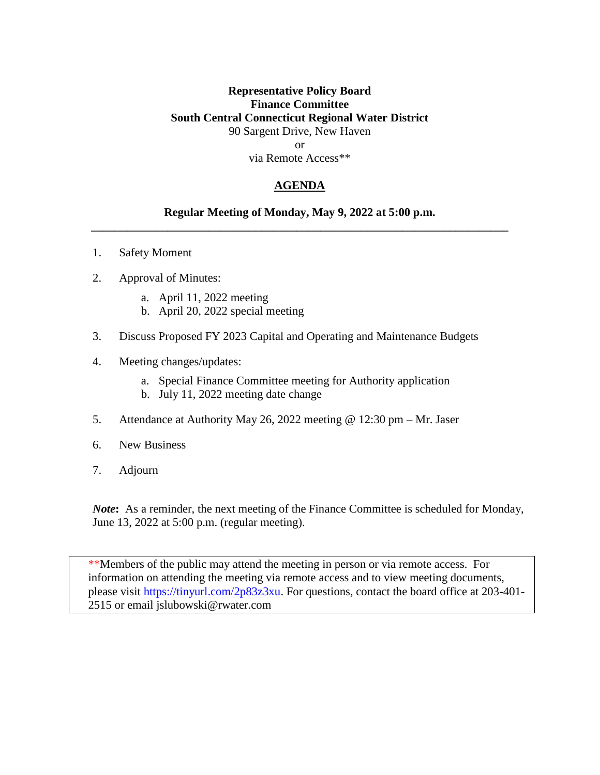### **Representative Policy Board Finance Committee South Central Connecticut Regional Water District** 90 Sargent Drive, New Haven or via Remote Access\*\*

#### **AGENDA**

#### **Regular Meeting of Monday, May 9, 2022 at 5:00 p.m. \_\_\_\_\_\_\_\_\_\_\_\_\_\_\_\_\_\_\_\_\_\_\_\_\_\_\_\_\_\_\_\_\_\_\_\_\_\_\_\_\_\_\_\_\_\_\_\_\_\_\_\_\_\_\_\_\_\_\_\_\_\_\_\_\_\_\_\_\_\_\_**

- 1. Safety Moment
- 2. Approval of Minutes:
	- a. April 11, 2022 meeting
	- b. April 20, 2022 special meeting
- 3. Discuss Proposed FY 2023 Capital and Operating and Maintenance Budgets
- 4. Meeting changes/updates:
	- a. Special Finance Committee meeting for Authority application
	- b. July 11, 2022 meeting date change
- 5. Attendance at Authority May 26, 2022 meeting @ 12:30 pm Mr. Jaser
- 6. New Business
- 7. Adjourn

*Note***:** As a reminder, the next meeting of the Finance Committee is scheduled for Monday, June 13, 2022 at 5:00 p.m. (regular meeting).

\*\*Members of the public may attend the meeting in person or via remote access. For information on attending the meeting via remote access and to view meeting documents, please visit [https://tinyurl.com/2p83z3xu.](https://tinyurl.com/2p83z3xu) For questions, contact the board office at 203-401-2515 or email jslubowski@rwater.com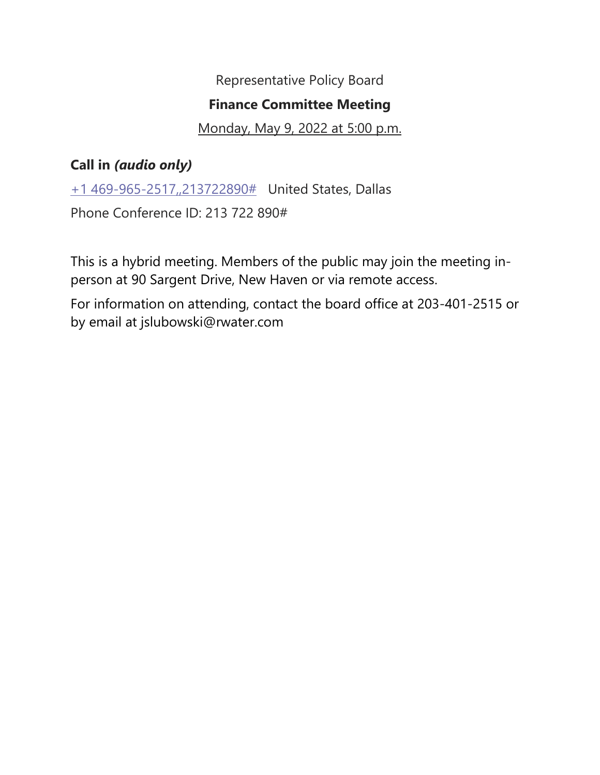Representative Policy Board

# **Finance Committee Meeting**

## Monday, May 9, 2022 at 5:00 p.m.

# **Call in** *(audio only)*

[+1 469-965-2517,,213722890#](tel:+14699652517,,213722890# ) United States, Dallas

Phone Conference ID: 213 722 890#

This is a hybrid meeting. Members of the public may join the meeting inperson at 90 Sargent Drive, New Haven or via remote access.

For information on attending, contact the board office at 203-401-2515 or by email at jslubowski@rwater.com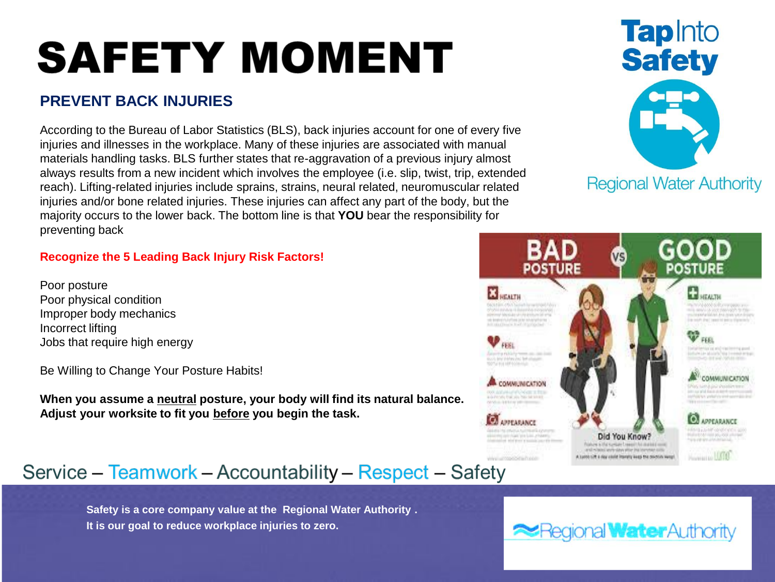# **SAFETY MOMENT**

# **PREVENT BACK INJURIES**

According to the Bureau of Labor Statistics (BLS), back injuries account for one of every five injuries and illnesses in the workplace. Many of these injuries are associated with manual materials handling tasks. BLS further states that re-aggravation of a previous injury almost always results from a new incident which involves the employee (i.e. slip, twist, trip, extended reach). Lifting-related injuries include sprains, strains, neural related, neuromuscular related injuries and/or bone related injuries. These injuries can affect any part of the body, but the majority occurs to the lower back. The bottom line is that **YOU** bear the responsibility for preventing back

## **Recognize the 5 Leading Back Injury Risk Factors!**

Poor posture Poor physical condition Improper body mechanics Incorrect lifting Jobs that require high energy

Be Willing to Change Your Posture Habits!

**When you assume a neutral posture, your body will find its natural balance. Adjust your worksite to fit you before you begin the task.**

# Service - Teamwork - Accountability - Respect - Safety

**Safety is a core company value at the Regional Water Authority . It is our goal to reduce workplace injuries to zero.** 





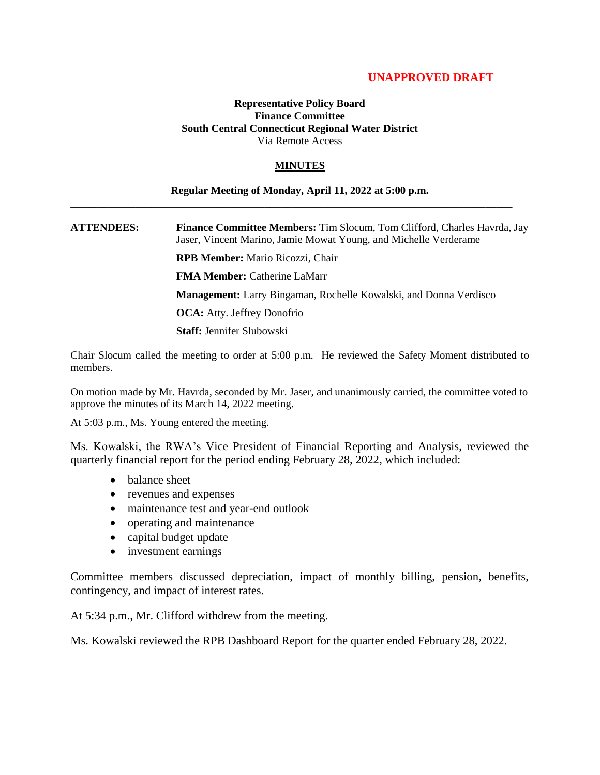#### **UNAPPROVED DRAFT**

#### **Representative Policy Board Finance Committee South Central Connecticut Regional Water District** Via Remote Access

#### **MINUTES**

#### **Regular Meeting of Monday, April 11, 2022 at 5:00 p.m.**

**\_\_\_\_\_\_\_\_\_\_\_\_\_\_\_\_\_\_\_\_\_\_\_\_\_\_\_\_\_\_\_\_\_\_\_\_\_\_\_\_\_\_\_\_\_\_\_\_\_\_\_\_\_\_\_\_\_\_\_\_\_\_\_\_\_\_\_\_\_\_\_\_\_\_\_\_\_\_\_\_\_\_**

**ATTENDEES: Finance Committee Members:** Tim Slocum, Tom Clifford, Charles Havrda, Jay Jaser, Vincent Marino, Jamie Mowat Young, and Michelle Verderame

**RPB Member:** Mario Ricozzi, Chair

**FMA Member:** Catherine LaMarr

**Management:** Larry Bingaman, Rochelle Kowalski, and Donna Verdisco

**OCA:** Atty. Jeffrey Donofrio

**Staff:** Jennifer Slubowski

Chair Slocum called the meeting to order at 5:00 p.m. He reviewed the Safety Moment distributed to members.

On motion made by Mr. Havrda, seconded by Mr. Jaser, and unanimously carried, the committee voted to approve the minutes of its March 14, 2022 meeting.

At 5:03 p.m., Ms. Young entered the meeting.

Ms. Kowalski, the RWA's Vice President of Financial Reporting and Analysis, reviewed the quarterly financial report for the period ending February 28, 2022, which included:

- balance sheet
- revenues and expenses
- maintenance test and year-end outlook
- operating and maintenance
- capital budget update
- investment earnings

Committee members discussed depreciation, impact of monthly billing, pension, benefits, contingency, and impact of interest rates.

At 5:34 p.m., Mr. Clifford withdrew from the meeting.

Ms. Kowalski reviewed the RPB Dashboard Report for the quarter ended February 28, 2022.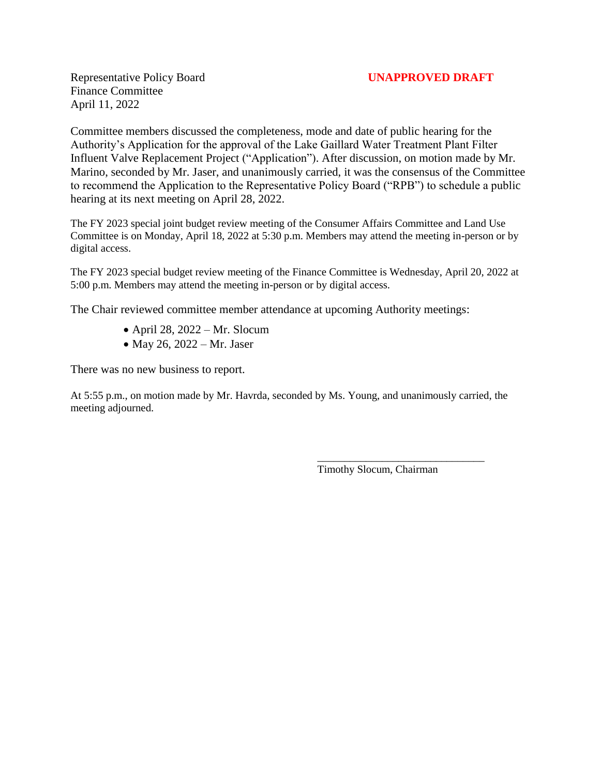Representative Policy Board **UNAPPROVED DRAFT** Finance Committee April 11, 2022

Committee members discussed the completeness, mode and date of public hearing for the Authority's Application for the approval of the Lake Gaillard Water Treatment Plant Filter Influent Valve Replacement Project ("Application"). After discussion, on motion made by Mr. Marino, seconded by Mr. Jaser, and unanimously carried, it was the consensus of the Committee to recommend the Application to the Representative Policy Board ("RPB") to schedule a public hearing at its next meeting on April 28, 2022.

The FY 2023 special joint budget review meeting of the Consumer Affairs Committee and Land Use Committee is on Monday, April 18, 2022 at 5:30 p.m. Members may attend the meeting in-person or by digital access.

The FY 2023 special budget review meeting of the Finance Committee is Wednesday, April 20, 2022 at 5:00 p.m. Members may attend the meeting in-person or by digital access.

The Chair reviewed committee member attendance at upcoming Authority meetings:

- April 28,  $2022 Mr$ . Slocum
- $\bullet$  May 26, 2022 Mr. Jaser

There was no new business to report.

At 5:55 p.m., on motion made by Mr. Havrda, seconded by Ms. Young, and unanimously carried, the meeting adjourned.

Timothy Slocum, Chairman

\_\_\_\_\_\_\_\_\_\_\_\_\_\_\_\_\_\_\_\_\_\_\_\_\_\_\_\_\_\_\_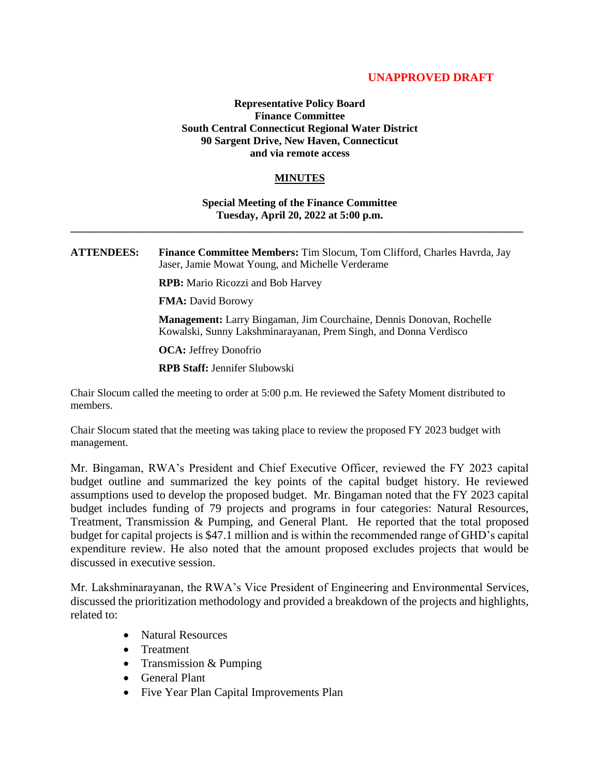#### **UNAPPROVED DRAFT**

#### **Representative Policy Board Finance Committee South Central Connecticut Regional Water District 90 Sargent Drive, New Haven, Connecticut and via remote access**

#### **MINUTES**

#### **Special Meeting of the Finance Committee Tuesday, April 20, 2022 at 5:00 p.m. \_\_\_\_\_\_\_\_\_\_\_\_\_\_\_\_\_\_\_\_\_\_\_\_\_\_\_\_\_\_\_\_\_\_\_\_\_\_\_\_\_\_\_\_\_\_\_\_\_\_\_\_\_\_\_\_\_\_\_\_\_\_\_\_\_\_\_\_\_\_\_\_\_\_\_\_\_\_\_\_\_\_\_\_**

**ATTENDEES: Finance Committee Members:** Tim Slocum, Tom Clifford, Charles Havrda, Jay Jaser, Jamie Mowat Young, and Michelle Verderame

**RPB:** Mario Ricozzi and Bob Harvey

**FMA:** David Borowy

**Management:** Larry Bingaman, Jim Courchaine, Dennis Donovan, Rochelle Kowalski, Sunny Lakshminarayanan, Prem Singh, and Donna Verdisco

**OCA:** Jeffrey Donofrio

**RPB Staff:** Jennifer Slubowski

Chair Slocum called the meeting to order at 5:00 p.m. He reviewed the Safety Moment distributed to members.

Chair Slocum stated that the meeting was taking place to review the proposed FY 2023 budget with management.

Mr. Bingaman, RWA's President and Chief Executive Officer, reviewed the FY 2023 capital budget outline and summarized the key points of the capital budget history. He reviewed assumptions used to develop the proposed budget. Mr. Bingaman noted that the FY 2023 capital budget includes funding of 79 projects and programs in four categories: Natural Resources, Treatment, Transmission & Pumping, and General Plant. He reported that the total proposed budget for capital projects is \$47.1 million and is within the recommended range of GHD's capital expenditure review. He also noted that the amount proposed excludes projects that would be discussed in executive session.

Mr. Lakshminarayanan, the RWA's Vice President of Engineering and Environmental Services, discussed the prioritization methodology and provided a breakdown of the projects and highlights, related to:

- Natural Resources
- Treatment
- Transmission & Pumping
- General Plant
- Five Year Plan Capital Improvements Plan